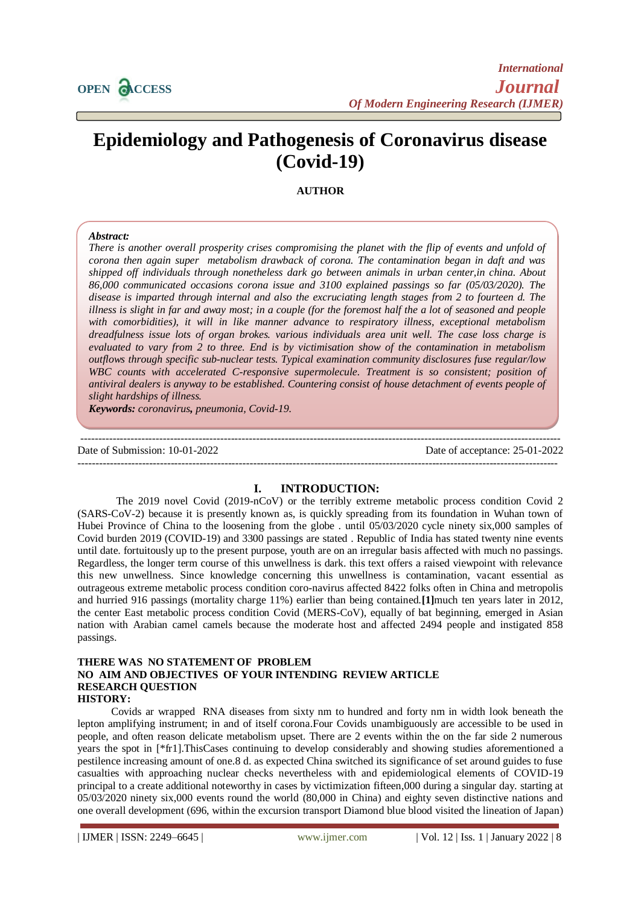

# **Epidemiology and Pathogenesis of Coronavirus disease (Covid-19)**

**AUTHOR**

#### *Abstract:*

*There is another overall prosperity crises compromising the planet with the flip of events and unfold of corona then again super metabolism drawback of corona. The contamination began in daft and was shipped off individuals through nonetheless dark go between animals in urban center,in china. About 86,000 communicated occasions corona issue and 3100 explained passings so far (05/03/2020). The disease is imparted through internal and also the excruciating length stages from 2 to fourteen d. The illness is slight in far and away most; in a couple (for the foremost half the a lot of seasoned and people with comorbidities), it will in like manner advance to respiratory illness, exceptional metabolism dreadfulness issue lots of organ brokes. various individuals area unit well. The case loss charge is evaluated to vary from 2 to three. End is by victimisation show of the contamination in metabolism outflows through specific sub-nuclear tests. Typical examination community disclosures fuse regular/low*  WBC counts with accelerated C-responsive supermolecule. Treatment is so consistent; position of *antiviral dealers is anyway to be established. Countering consist of house detachment of events people of slight hardships of illness.* 

*Keywords: coronavirus, pneumonia, Covid-19.* 

--------------------------------------------------------------------------------------------------------------------------------------

Date of Submission: 10-01-2022 Date of acceptance: 25-01-2022

## **I. INTRODUCTION:**

--------------------------------------------------------------------------------------------------------------------------------------

The 2019 novel Covid (2019-nCoV) or the terribly extreme metabolic process condition Covid 2 (SARS-CoV-2) because it is presently known as, is quickly spreading from its foundation in Wuhan town of Hubei Province of China to the loosening from the globe . until 05/03/2020 cycle ninety six,000 samples of Covid burden 2019 (COVID-19) and 3300 passings are stated . Republic of India has stated twenty nine events until date. fortuitously up to the present purpose, youth are on an irregular basis affected with much no passings. Regardless, the longer term course of this unwellness is dark. this text offers a raised viewpoint with relevance this new unwellness. Since knowledge concerning this unwellness is contamination, vacant essential as outrageous extreme metabolic process condition coro-navirus affected 8422 folks often in China and metropolis and hurried 916 passings (mortality charge 11%) earlier than being contained.**[1]**much ten years later in 2012, the center East metabolic process condition Covid (MERS-CoV), equally of bat beginning, emerged in Asian nation with Arabian camel camels because the moderate host and affected 2494 people and instigated 858 passings.

#### **THERE WAS NO STATEMENT OF PROBLEM NO AIM AND OBJECTIVES OF YOUR INTENDING REVIEW ARTICLE RESEARCH QUESTION HISTORY:**

Covids ar wrapped RNA diseases from sixty nm to hundred and forty nm in width look beneath the lepton amplifying instrument; in and of itself corona.Four Covids unambiguously are accessible to be used in people, and often reason delicate metabolism upset. There are 2 events within the on the far side 2 numerous years the spot in [\*fr1].ThisCases continuing to develop considerably and showing studies aforementioned a pestilence increasing amount of one.8 d. as expected China switched its significance of set around guides to fuse casualties with approaching nuclear checks nevertheless with and epidemiological elements of COVID-19 principal to a create additional noteworthy in cases by victimization fifteen,000 during a singular day. starting at 05/03/2020 ninety six,000 events round the world (80,000 in China) and eighty seven distinctive nations and one overall development (696, within the excursion transport Diamond blue blood visited the lineation of Japan)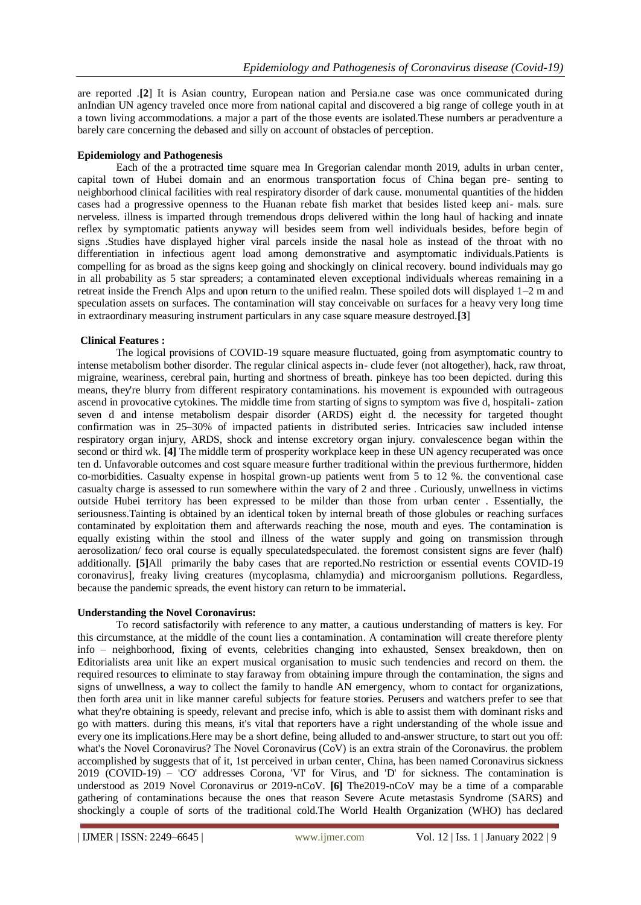are reported .**[2**] It is Asian country, European nation and Persia.ne case was once communicated during anIndian UN agency traveled once more from national capital and discovered a big range of college youth in at a town living accommodations. a major a part of the those events are isolated.These numbers ar peradventure a barely care concerning the debased and silly on account of obstacles of perception.

#### **Epidemiology and Pathogenesis**

Each of the a protracted time square mea In Gregorian calendar month 2019, adults in urban center, capital town of Hubei domain and an enormous transportation focus of China began pre- senting to neighborhood clinical facilities with real respiratory disorder of dark cause. monumental quantities of the hidden cases had a progressive openness to the Huanan rebate fish market that besides listed keep ani- mals. sure nerveless. illness is imparted through tremendous drops delivered within the long haul of hacking and innate reflex by symptomatic patients anyway will besides seem from well individuals besides, before begin of signs .Studies have displayed higher viral parcels inside the nasal hole as instead of the throat with no differentiation in infectious agent load among demonstrative and asymptomatic individuals.Patients is compelling for as broad as the signs keep going and shockingly on clinical recovery. bound individuals may go in all probability as 5 star spreaders; a contaminated eleven exceptional individuals whereas remaining in a retreat inside the French Alps and upon return to the unified realm. These spoiled dots will displayed 1–2 m and speculation assets on surfaces. The contamination will stay conceivable on surfaces for a heavy very long time in extraordinary measuring instrument particulars in any case square measure destroyed.**[3**]

#### **Clinical Features :**

The logical provisions of COVID-19 square measure fluctuated, going from asymptomatic country to intense metabolism bother disorder. The regular clinical aspects in- clude fever (not altogether), hack, raw throat, migraine, weariness, cerebral pain, hurting and shortness of breath. pinkeye has too been depicted. during this means, they're blurry from different respiratory contaminations. his movement is expounded with outrageous ascend in provocative cytokines. The middle time from starting of signs to symptom was five d, hospitali- zation seven d and intense metabolism despair disorder (ARDS) eight d. the necessity for targeted thought confirmation was in 25–30% of impacted patients in distributed series. Intricacies saw included intense respiratory organ injury, ARDS, shock and intense excretory organ injury. convalescence began within the second or third wk. **[4]** The middle term of prosperity workplace keep in these UN agency recuperated was once ten d. Unfavorable outcomes and cost square measure further traditional within the previous furthermore, hidden co-morbidities. Casualty expense in hospital grown-up patients went from 5 to 12 %. the conventional case casualty charge is assessed to run somewhere within the vary of 2 and three . Curiously, unwellness in victims outside Hubei territory has been expressed to be milder than those from urban center . Essentially, the seriousness.Tainting is obtained by an identical token by internal breath of those globules or reaching surfaces contaminated by exploitation them and afterwards reaching the nose, mouth and eyes. The contamination is equally existing within the stool and illness of the water supply and going on transmission through aerosolization/ feco oral course is equally speculatedspeculated. the foremost consistent signs are fever (half) additionally. **[5]**All primarily the baby cases that are reported.No restriction or essential events COVID-19 coronavirus], freaky living creatures (mycoplasma, chlamydia) and microorganism pollutions. Regardless, because the pandemic spreads, the event history can return to be immaterial**.**

## **Understanding the Novel Coronavirus:**

To record satisfactorily with reference to any matter, a cautious understanding of matters is key. For this circumstance, at the middle of the count lies a contamination. A contamination will create therefore plenty info – neighborhood, fixing of events, celebrities changing into exhausted, Sensex breakdown, then on Editorialists area unit like an expert musical organisation to music such tendencies and record on them. the required resources to eliminate to stay faraway from obtaining impure through the contamination, the signs and signs of unwellness, a way to collect the family to handle AN emergency, whom to contact for organizations, then forth area unit in like manner careful subjects for feature stories. Perusers and watchers prefer to see that what they're obtaining is speedy, relevant and precise info, which is able to assist them with dominant risks and go with matters. during this means, it's vital that reporters have a right understanding of the whole issue and every one its implications.Here may be a short define, being alluded to and-answer structure, to start out you off: what's the Novel Coronavirus? The Novel Coronavirus (CoV) is an extra strain of the Coronavirus. the problem accomplished by suggests that of it, 1st perceived in urban center, China, has been named Coronavirus sickness 2019 (COVID-19) – 'CO' addresses Corona, 'VI' for Virus, and 'D' for sickness. The contamination is understood as 2019 Novel Coronavirus or 2019-nCoV. **[6]** The2019-nCoV may be a time of a comparable gathering of contaminations because the ones that reason Severe Acute metastasis Syndrome (SARS) and shockingly a couple of sorts of the traditional cold.The World Health Organization (WHO) has declared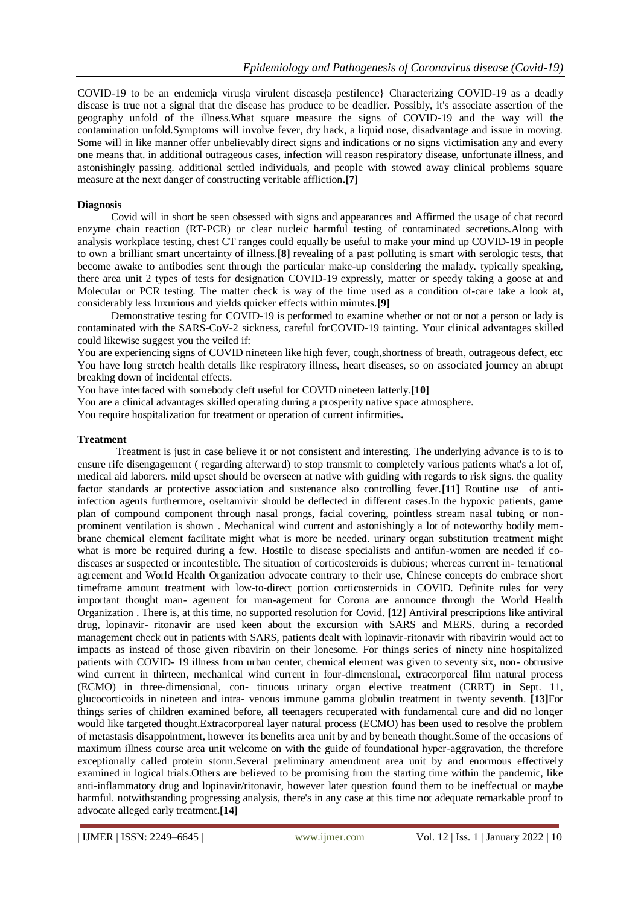COVID-19 to be an endemicla virusla virulent diseasela pestilence} Characterizing COVID-19 as a deadly disease is true not a signal that the disease has produce to be deadlier. Possibly, it's associate assertion of the geography unfold of the illness.What square measure the signs of COVID-19 and the way will the contamination unfold.Symptoms will involve fever, dry hack, a liquid nose, disadvantage and issue in moving. Some will in like manner offer unbelievably direct signs and indications or no signs victimisation any and every one means that. in additional outrageous cases, infection will reason respiratory disease, unfortunate illness, and astonishingly passing. additional settled individuals, and people with stowed away clinical problems square measure at the next danger of constructing veritable affliction**.[7]**

#### **Diagnosis**

Covid will in short be seen obsessed with signs and appearances and Affirmed the usage of chat record enzyme chain reaction (RT-PCR) or clear nucleic harmful testing of contaminated secretions.Along with analysis workplace testing, chest CT ranges could equally be useful to make your mind up COVID-19 in people to own a brilliant smart uncertainty of illness.**[8]** revealing of a past polluting is smart with serologic tests, that become awake to antibodies sent through the particular make-up considering the malady. typically speaking, there area unit 2 types of tests for designation COVID-19 expressly, matter or speedy taking a goose at and Molecular or PCR testing. The matter check is way of the time used as a condition of-care take a look at, considerably less luxurious and yields quicker effects within minutes.**[9]**

Demonstrative testing for COVID-19 is performed to examine whether or not or not a person or lady is contaminated with the SARS-CoV-2 sickness, careful forCOVID-19 tainting. Your clinical advantages skilled could likewise suggest you the veiled if:

You are experiencing signs of COVID nineteen like high fever, cough,shortness of breath, outrageous defect, etc You have long stretch health details like respiratory illness, heart diseases, so on associated journey an abrupt breaking down of incidental effects.

You have interfaced with somebody cleft useful for COVID nineteen latterly.**[10]**

You are a clinical advantages skilled operating during a prosperity native space atmosphere.

You require hospitalization for treatment or operation of current infirmities**.** 

#### **Treatment**

Treatment is just in case believe it or not consistent and interesting. The underlying advance is to is to ensure rife disengagement ( regarding afterward) to stop transmit to completely various patients what's a lot of, medical aid laborers. mild upset should be overseen at native with guiding with regards to risk signs. the quality factor standards ar protective association and sustenance also controlling fever.**[11]** Routine use of antiinfection agents furthermore, oseltamivir should be deflected in different cases.In the hypoxic patients, game plan of compound component through nasal prongs, facial covering, pointless stream nasal tubing or nonprominent ventilation is shown . Mechanical wind current and astonishingly a lot of noteworthy bodily membrane chemical element facilitate might what is more be needed. urinary organ substitution treatment might what is more be required during a few. Hostile to disease specialists and antifun-women are needed if codiseases ar suspected or incontestible. The situation of corticosteroids is dubious; whereas current in- ternational agreement and World Health Organization advocate contrary to their use, Chinese concepts do embrace short timeframe amount treatment with low-to-direct portion corticosteroids in COVID. Definite rules for very important thought man- agement for man-agement for Corona are announce through the World Health Organization . There is, at this time, no supported resolution for Covid. **[12]** Antiviral prescriptions like antiviral drug, lopinavir- ritonavir are used keen about the excursion with SARS and MERS. during a recorded management check out in patients with SARS, patients dealt with lopinavir-ritonavir with ribavirin would act to impacts as instead of those given ribavirin on their lonesome. For things series of ninety nine hospitalized patients with COVID- 19 illness from urban center, chemical element was given to seventy six, non- obtrusive wind current in thirteen, mechanical wind current in four-dimensional, extracorporeal film natural process (ECMO) in three-dimensional, con- tinuous urinary organ elective treatment (CRRT) in Sept. 11, glucocorticoids in nineteen and intra- venous immune gamma globulin treatment in twenty seventh. **[13]**For things series of children examined before, all teenagers recuperated with fundamental cure and did no longer would like targeted thought.Extracorporeal layer natural process (ECMO) has been used to resolve the problem of metastasis disappointment, however its benefits area unit by and by beneath thought.Some of the occasions of maximum illness course area unit welcome on with the guide of foundational hyper-aggravation, the therefore exceptionally called protein storm.Several preliminary amendment area unit by and enormous effectively examined in logical trials.Others are believed to be promising from the starting time within the pandemic, like anti-inflammatory drug and lopinavir/ritonavir, however later question found them to be ineffectual or maybe harmful. notwithstanding progressing analysis, there's in any case at this time not adequate remarkable proof to advocate alleged early treatment**.[14]**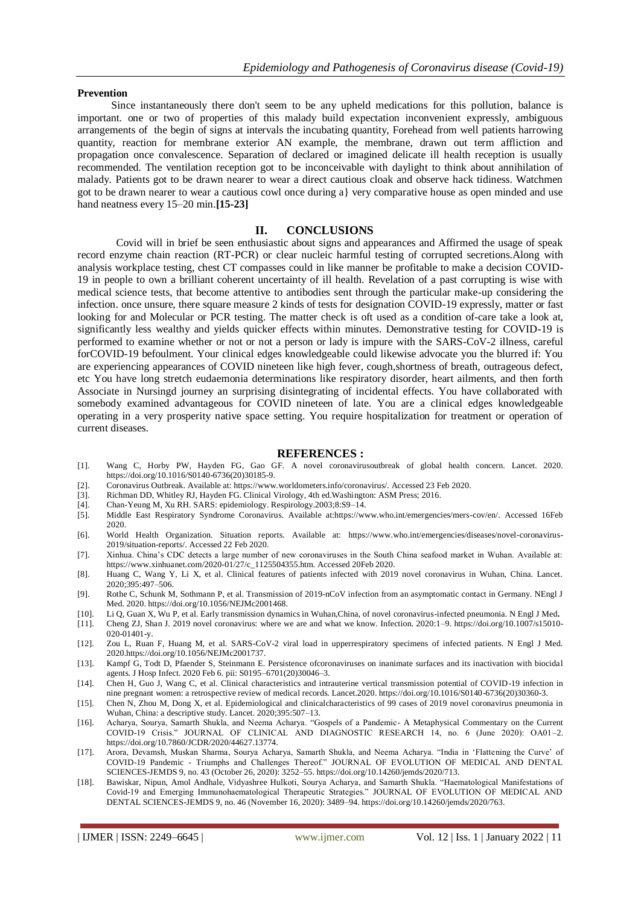#### **Prevention**

Since instantaneously there don't seem to be any upheld medications for this pollution, balance is important. one or two of properties of this malady build expectation inconvenient expressly, ambiguous arrangements of the begin of signs at intervals the incubating quantity, Forehead from well patients harrowing quantity, reaction for membrane exterior AN example, the membrane, drawn out term affliction and propagation once convalescence. Separation of declared or imagined delicate ill health reception is usually recommended. The ventilation reception got to be inconceivable with daylight to think about annihilation of malady. Patients got to be drawn nearer to wear a direct cautious cloak and observe hack tidiness. Watchmen got to be drawn nearer to wear a cautious cowl once during a} very comparative house as open minded and use hand neatness every 15–20 min.**[15-23]**

## **II. CONCLUSIONS**

Covid will in brief be seen enthusiastic about signs and appearances and Affirmed the usage of speak record enzyme chain reaction (RT-PCR) or clear nucleic harmful testing of corrupted secretions.Along with analysis workplace testing, chest CT compasses could in like manner be profitable to make a decision COVID-19 in people to own a brilliant coherent uncertainty of ill health. Revelation of a past corrupting is wise with medical science tests, that become attentive to antibodies sent through the particular make-up considering the infection. once unsure, there square measure 2 kinds of tests for designation COVID-19 expressly, matter or fast looking for and Molecular or PCR testing. The matter check is oft used as a condition of-care take a look at, significantly less wealthy and yields quicker effects within minutes. Demonstrative testing for COVID-19 is performed to examine whether or not or not a person or lady is impure with the SARS-CoV-2 illness, careful forCOVID-19 befoulment. Your clinical edges knowledgeable could likewise advocate you the blurred if: You are experiencing appearances of COVID nineteen like high fever, cough,shortness of breath, outrageous defect, etc You have long stretch eudaemonia determinations like respiratory disorder, heart ailments, and then forth Associate in Nursingd journey an surprising disintegrating of incidental effects. You have collaborated with somebody examined advantageous for COVID nineteen of late. You are a clinical edges knowledgeable operating in a very prosperity native space setting. You require hospitalization for treatment or operation of current diseases.

#### **REFERENCES :**

- [1]. Wang C, Horby PW, Hayden FG, Gao GF. A novel coronavirusoutbreak of global health concern. Lancet. 2020. https://doi.org/10.1016/S0140-6736(20)30185-9.
- [2]. Coronavirus Outbreak. Available at: https://www.worldometers.info/coronavirus/. Accessed 23 Feb 2020.
- [3]. Richman DD, Whitley RJ, Hayden FG. Clinical Virology, 4th ed.Washington: ASM Press; 2016. [4]. Chan-Yeung M, Xu RH. SARS: epidemiology. Respirology.2003:8:S9-14.
- [4]. Chan-Yeung M, Xu RH. SARS: epidemiology. Respirology.2003;8:S9–14.
- [5]. Middle East Respiratory Syndrome Coronavirus. Available at:https://www.who.int/emergencies/mers-cov/en/. Accessed 16Feb 2020.
- [6]. World Health Organization. Situation reports. Available at: https://www.who.int/emergencies/diseases/novel-coronavirus-2019/situation-reports/. Accessed 22 Feb 2020.
- [7]. Xinhua. China's CDC detects a large number of new coronaviruses in the South China seafood market in Wuhan. Available at: https://www.xinhuanet.com/2020-01/27/c\_1125504355.htm. Accessed 20Feb 2020.
- [8]. Huang C, Wang Y, Li X, et al. Clinical features of patients infected with 2019 novel coronavirus in Wuhan, China. Lancet. 2020;395:497–506.
- [9]. Rothe C, Schunk M, Sothmann P, et al. Transmission of 2019-nCoV infection from an asymptomatic contact in Germany. NEngl J Med. 2020. https://doi.org/10.1056/NEJMc2001468.
- [10]. Li Q, Guan X, Wu P, et al. Early transmission dynamics in Wuhan,China, of novel coronavirus-infected pneumonia. N Engl J Med**.**
- [11]. Cheng ZJ, Shan J. 2019 novel coronavirus: where we are and what we know. Infection. 2020:1–9. https://doi.org/10.1007/s15010- 020-01401-y.
- [12]. Zou L, Ruan F, Huang M, et al. SARS-CoV-2 viral load in upperrespiratory specimens of infected patients. N Engl J Med. 2020.https://doi.org/10.1056/NEJMc2001737.
- [13]. Kampf G, Todt D, Pfaender S, Steinmann E. Persistence ofcoronaviruses on inanimate surfaces and its inactivation with biocidal agents. J Hosp Infect. 2020 Feb 6. pii: S0195–6701(20)30046–3.
- [14]. Chen H, Guo J, Wang C, et al. Clinical characteristics and intrauterine vertical transmission potential of COVID-19 infection in nine pregnant women: a retrospective review of medical records. Lancet.2020. https://doi.org/10.1016/S0140-6736(20)30360-3.
- [15]. Chen N, Zhou M, Dong X, et al. Epidemiological and clinicalcharacteristics of 99 cases of 2019 novel coronavirus pneumonia in Wuhan, China: a descriptive study. Lancet. 2020;395:507–13.
- [16]. Acharya, Sourya, Samarth Shukla, and Neema Acharya. "Gospels of a Pandemic- A Metaphysical Commentary on the Current COVID-19 Crisis." JOURNAL OF CLINICAL AND DIAGNOSTIC RESEARCH 14, no. 6 (June 2020): OA01–2. https://doi.org/10.7860/JCDR/2020/44627.13774.
- [17]. Arora, Devamsh, Muskan Sharma, Sourya Acharya, Samarth Shukla, and Neema Acharya. "India in 'Flattening the Curve' of COVID-19 Pandemic - Triumphs and Challenges Thereof." JOURNAL OF EVOLUTION OF MEDICAL AND DENTAL SCIENCES-JEMDS 9, no. 43 (October 26, 2020): 3252–55. https://doi.org/10.14260/jemds/2020/713.
- [18]. Bawiskar, Nipun, Amol Andhale, Vidyashree Hulkoti, Sourya Acharya, and Samarth Shukla. "Haematological Manifestations of Covid-19 and Emerging Immunohaematological Therapeutic Strategies." JOURNAL OF EVOLUTION OF MEDICAL AND DENTAL SCIENCES-JEMDS 9, no. 46 (November 16, 2020): 3489–94. https://doi.org/10.14260/jemds/2020/763.